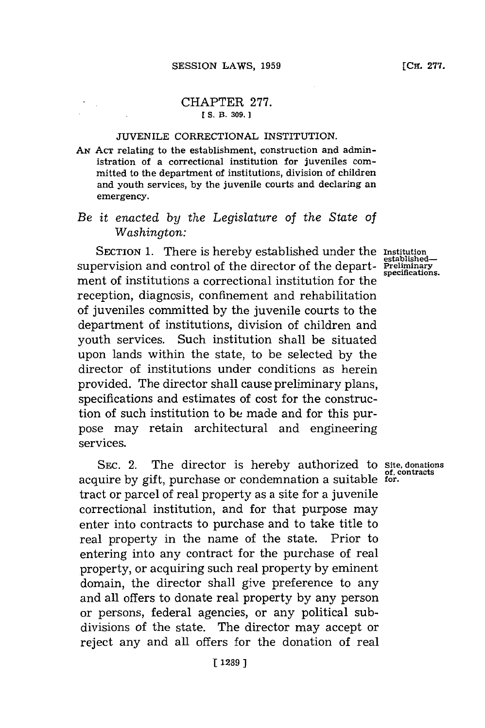## CHAPTER **277. ES. B.- 309.]3**

## **JUVENILE** CORRECTIONAL INSTITUTION.

*AN* **ACr** relating to the establishment, construction and administration of a correctional institution for juveniles committed to the department of institutions, division of children and youth services, **by** the juvenile courts and declaring an emergency.

## *Be it enacted by the Legislature of the State of Washington:*

**SECTION 1.** There is hereby established under the supervision and control of the director of the department of institutions a correctional institution for the reception, diagnosis, confinement and rehabilitation of juveniles committed **by** the juvenile courts to the department of institutions, division of children and youth services. Such institution shall be situated upon lands within the state, to be selected **by** the director of institutions under conditions as herein provided. The director shall cause preliminary plans, specifications and estimates of cost for the construction of such institution to **be** made and for this purpose may retain architectural and engineering services.

SEC. 2. The director is hereby authorized to site, donations acquire by gift, purchase or condemnation a suitable for. tract or parcel of real property as a site for a juvenile correctional institution, and for that purpose may enter into contracts to purchase and to take title to real property in the name of the state. Prior to entering into any contract for the purchase of real property, or acquiring such real property **by** eminent domain, the director shall give preference to any and all offers to donate real property **by** any person or persons, federal agencies, or any political subdivisions of the state. The director may accept or reject any and all offers for the donation of real

Institution **established-Preliminary** specifications.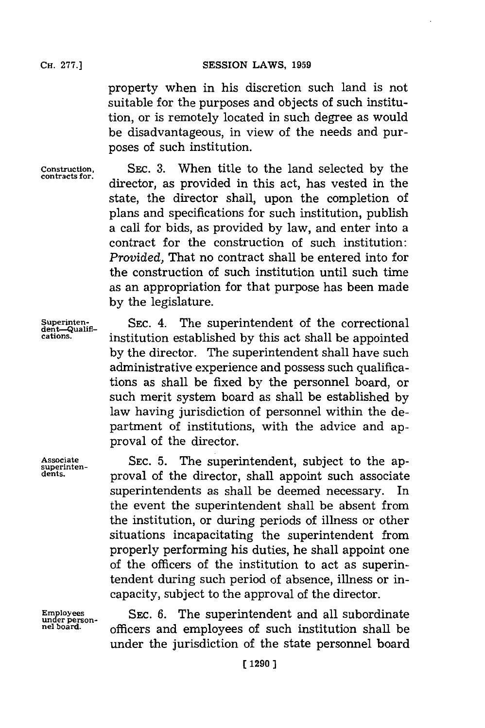property when in his discretion such land is not suitable for the purposes and objects of such institution, or is remotely located in such degree as would be disadvantageous, in view of the needs and purposes of such institution.

**Construction, SEC. 3.** When title to the land selected **by** the director, as provided in this act, has vested in the state, the director shall, upon the completion of plans and specifications for such institution, publish a call for bids, as provided **by** law, and enter into a contract for the construction of such institution: *Provided,* That no contract shall be entered into for the construction of such institution until such time as an appropriation for that purpose has been made **by** the legislature.

SEC. 4. The superintendent of the correctional

**cations.** institution established **by** this act shall be appointed **by** the director. The superintendent shall have such administrative experience and possess such qualifications as shall be fixed **by** the personnel board, or such merit system board as shall be established **by** law having jurisdiction of personnel within the department of institutions, with the advice and ap-

Superinten-<br>dent<del>-Q</del>ualifi-<br>cations.

Associate SEC. 5. The superintendent, subject to the ap-<br>
superinten-<br> **SEC.** 5. The superintendent, subject to the ap-<br>
dents. **dents.** proval of the director, shall appoint such associate superintendents as shall be deemed necessary. In the event the superintendent shall be absent from the institution, or during periods of illness or other situations incapacitating the superintendent from properly performing his duties, he shall appoint one of the officers of the institution to act as superintendent during such period of absence, illness or incapacity, subject to the approval of the director.

Employees SEC. 6. The superintendent and all subordinate<br>
under person-<br>
nel board.<br>
officers and employees of such institution shall be officers and employees of such institution shall be under the jurisdiction of the state personnel board

proval of the director.

**CH. 277.]**